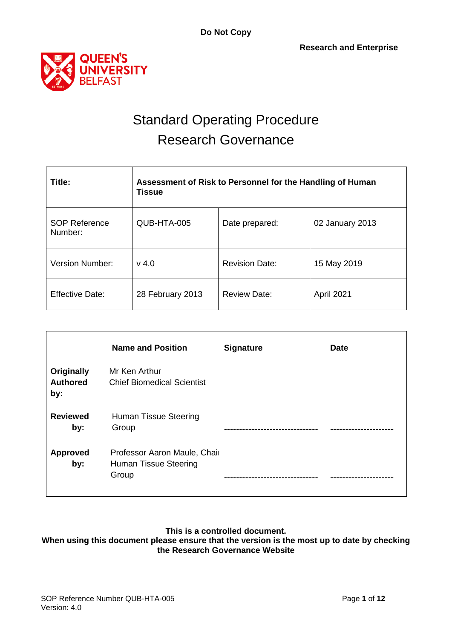



# Standard Operating Procedure Research Governance

| Title:                          | Assessment of Risk to Personnel for the Handling of Human<br><b>Tissue</b> |                       |                 |  |  |  |  |  |  |
|---------------------------------|----------------------------------------------------------------------------|-----------------------|-----------------|--|--|--|--|--|--|
| <b>SOP Reference</b><br>Number: | QUB-HTA-005                                                                | Date prepared:        | 02 January 2013 |  |  |  |  |  |  |
| <b>Version Number:</b>          | $v$ 4.0                                                                    | <b>Revision Date:</b> | 15 May 2019     |  |  |  |  |  |  |
| <b>Effective Date:</b>          | 28 February 2013                                                           | <b>Review Date:</b>   | April 2021      |  |  |  |  |  |  |

|                                             | <b>Name and Position</b>                                              | <b>Signature</b> | <b>Date</b> |
|---------------------------------------------|-----------------------------------------------------------------------|------------------|-------------|
| <b>Originally</b><br><b>Authored</b><br>by: | Mr Ken Arthur<br><b>Chief Biomedical Scientist</b>                    |                  |             |
| <b>Reviewed</b><br>by:                      | Human Tissue Steering<br>Group                                        |                  |             |
| Approved<br>by:                             | Professor Aaron Maule, Chair<br><b>Human Tissue Steering</b><br>Group |                  |             |

### **This is a controlled document.**

**When using this document please ensure that the version is the most up to date by checking the Research Governance Website**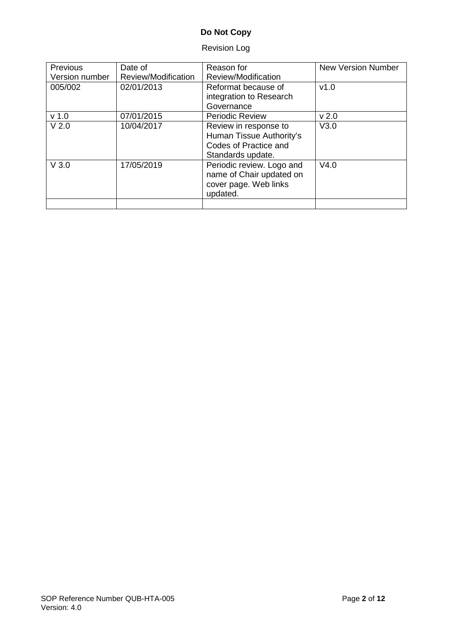## Revision Log

| <b>Previous</b><br>Version number | Date of<br>Review/Modification | Reason for<br>Review/Modification                                                               | <b>New Version Number</b> |
|-----------------------------------|--------------------------------|-------------------------------------------------------------------------------------------------|---------------------------|
| 005/002                           | 02/01/2013                     | Reformat because of<br>integration to Research<br>Governance                                    | v1.0                      |
| v <sub>1.0</sub>                  | 07/01/2015                     | <b>Periodic Review</b>                                                                          | v <sub>2.0</sub>          |
| V <sub>2.0</sub>                  | 10/04/2017                     | Review in response to<br>Human Tissue Authority's<br>Codes of Practice and<br>Standards update. | V3.0                      |
| V3.0                              | 17/05/2019                     | Periodic review. Logo and<br>name of Chair updated on<br>cover page. Web links<br>updated.      | V4.0                      |
|                                   |                                |                                                                                                 |                           |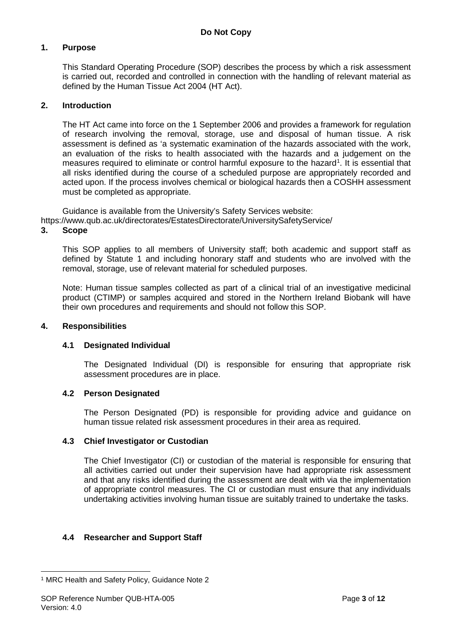#### **1. Purpose**

This Standard Operating Procedure (SOP) describes the process by which a risk assessment is carried out, recorded and controlled in connection with the handling of relevant material as defined by the Human Tissue Act 2004 (HT Act).

#### **2. Introduction**

The HT Act came into force on the 1 September 2006 and provides a framework for regulation of research involving the removal, storage, use and disposal of human tissue. A risk assessment is defined as 'a systematic examination of the hazards associated with the work, an evaluation of the risks to health associated with the hazards and a judgement on the measures required to eliminate or control harmful exposure to the hazard<sup>[1](#page-2-0)</sup>. It is essential that all risks identified during the course of a scheduled purpose are appropriately recorded and acted upon. If the process involves chemical or biological hazards then a COSHH assessment must be completed as appropriate.

Guidance is available from the University's Safety Services website: https://www.qub.ac.uk/directorates/EstatesDirectorate/UniversitySafetyService/

#### **3. Scope**

This SOP applies to all members of University staff; both academic and support staff as defined by Statute 1 and including honorary staff and students who are involved with the removal, storage, use of relevant material for scheduled purposes.

Note: Human tissue samples collected as part of a clinical trial of an investigative medicinal product (CTIMP) or samples acquired and stored in the Northern Ireland Biobank will have their own procedures and requirements and should not follow this SOP.

#### **4. Responsibilities**

#### **4.1 Designated Individual**

The Designated Individual (DI) is responsible for ensuring that appropriate risk assessment procedures are in place.

#### **4.2 Person Designated**

The Person Designated (PD) is responsible for providing advice and guidance on human tissue related risk assessment procedures in their area as required.

#### **4.3 Chief Investigator or Custodian**

The Chief Investigator (CI) or custodian of the material is responsible for ensuring that all activities carried out under their supervision have had appropriate risk assessment and that any risks identified during the assessment are dealt with via the implementation of appropriate control measures. The CI or custodian must ensure that any individuals undertaking activities involving human tissue are suitably trained to undertake the tasks.

#### **4.4 Researcher and Support Staff**

<span id="page-2-0"></span><sup>-</sup><sup>1</sup> MRC Health and Safety Policy, Guidance Note 2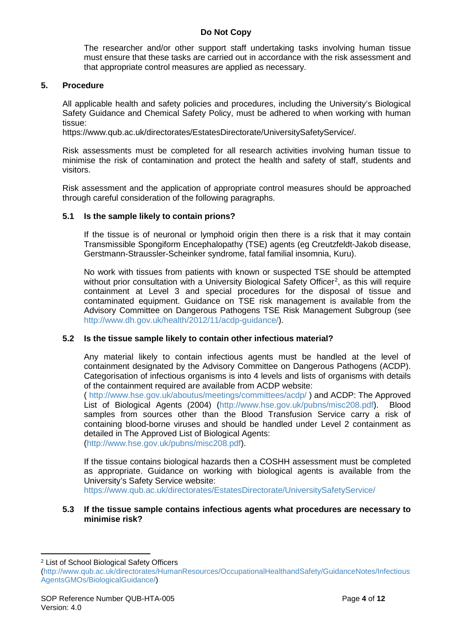The researcher and/or other support staff undertaking tasks involving human tissue must ensure that these tasks are carried out in accordance with the risk assessment and that appropriate control measures are applied as necessary.

#### **5. Procedure**

All applicable health and safety policies and procedures, including the University's Biological Safety Guidance and Chemical Safety Policy, must be adhered to when working with human tissue:

https://www.qub.ac.uk/directorates/EstatesDirectorate/UniversitySafetyService/.

Risk assessments must be completed for all research activities involving human tissue to minimise the risk of contamination and protect the health and safety of staff, students and visitors.

Risk assessment and the application of appropriate control measures should be approached through careful consideration of the following paragraphs.

#### **5.1 Is the sample likely to contain prions?**

If the tissue is of neuronal or lymphoid origin then there is a risk that it may contain Transmissible Spongiform Encephalopathy (TSE) agents (eg Creutzfeldt-Jakob disease, Gerstmann-Straussler-Scheinker syndrome, fatal familial insomnia, Kuru).

No work with tissues from patients with known or suspected TSE should be attempted without prior consultation with a University Biological Safety Officer<sup>[2](#page-3-0)</sup>, as this will require containment at Level 3 and special procedures for the disposal of tissue and contaminated equipment. Guidance on TSE risk management is available from the Advisory Committee on Dangerous Pathogens TSE Risk Management Subgroup (see [http://www.dh.gov.uk/health/2012/11/acdp-guidance/\)](http://www.dh.gov.uk/health/2012/11/acdp-guidance/).

#### **5.2 Is the tissue sample likely to contain other infectious material?**

Any material likely to contain infectious agents must be handled at the level of containment designated by the Advisory Committee on Dangerous Pathogens (ACDP). Categorisation of infectious organisms is into 4 levels and lists of organisms with details of the containment required are available from ACDP website:

( <http://www.hse.gov.uk/aboutus/meetings/committees/acdp/> ) and ACDP: The Approved List of Biological Agents (2004) [\(http://www.hse.gov.uk/pubns/misc208.pdf\)](http://www.hse.gov.uk/pubns/misc208.pdf). Blood samples from sources other than the Blood Transfusion Service carry a risk of containing blood-borne viruses and should be handled under Level 2 containment as detailed in The Approved List of Biological Agents: [\(http://www.hse.gov.uk/pubns/misc208.pdf\)](http://www.hse.gov.uk/pubns/misc208.pdf).

If the tissue contains biological hazards then a COSHH assessment must be completed as appropriate. Guidance on working with biological agents is available from the University's Safety Service website:

<https://www.qub.ac.uk/directorates/EstatesDirectorate/UniversitySafetyService/>

#### **5.3 If the tissue sample contains infectious agents what procedures are necessary to minimise risk?**

<u>.</u>

<span id="page-3-0"></span><sup>2</sup> List of School Biological Safety Officers

[<sup>\(</sup>http://www.qub.ac.uk/directorates/HumanResources/OccupationalHealthandSafety/GuidanceNotes/Infectious](http://www.qub.ac.uk/directorates/HumanResources/OccupationalHealthandSafety/GuidanceNotes/InfectiousAgentsGMOs/BiologicalGuidance/) [AgentsGMOs/BiologicalGuidance/\)](http://www.qub.ac.uk/directorates/HumanResources/OccupationalHealthandSafety/GuidanceNotes/InfectiousAgentsGMOs/BiologicalGuidance/)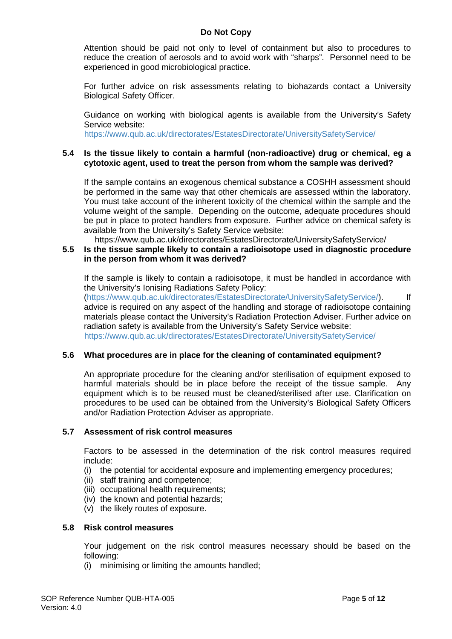Attention should be paid not only to level of containment but also to procedures to reduce the creation of aerosols and to avoid work with "sharps". Personnel need to be experienced in good microbiological practice.

For further advice on risk assessments relating to biohazards contact a University Biological Safety Officer.

Guidance on working with biological agents is available from the University's Safety Service website:

<https://www.qub.ac.uk/directorates/EstatesDirectorate/UniversitySafetyService/>

#### **5.4 Is the tissue likely to contain a harmful (non-radioactive) drug or chemical, eg a cytotoxic agent, used to treat the person from whom the sample was derived?**

If the sample contains an exogenous chemical substance a COSHH assessment should be performed in the same way that other chemicals are assessed within the laboratory. You must take account of the inherent toxicity of the chemical within the sample and the volume weight of the sample. Depending on the outcome, adequate procedures should be put in place to protect handlers from exposure. Further advice on chemical safety is available from the University's Safety Service website:

https://www.qub.ac.uk/directorates/EstatesDirectorate/UniversitySafetyService/

#### **5.5 Is the tissue sample likely to contain a radioisotope used in diagnostic procedure in the person from whom it was derived?**

If the sample is likely to contain a radioisotope, it must be handled in accordance with the University's Ionising Radiations Safety Policy:

[\(https://www.qub.ac.uk/directorates/EstatesDirectorate/UniversitySafetyService/\)](https://www.qub.ac.uk/directorates/EstatesDirectorate/UniversitySafetyService/). If advice is required on any aspect of the handling and storage of radioisotope containing materials please contact the University's Radiation Protection Adviser. Further advice on radiation safety is available from the University's Safety Service website: <https://www.qub.ac.uk/directorates/EstatesDirectorate/UniversitySafetyService/>

#### **5.6 What procedures are in place for the cleaning of contaminated equipment?**

An appropriate procedure for the cleaning and/or sterilisation of equipment exposed to harmful materials should be in place before the receipt of the tissue sample. Any equipment which is to be reused must be cleaned/sterilised after use. Clarification on procedures to be used can be obtained from the University's Biological Safety Officers and/or Radiation Protection Adviser as appropriate.

#### **5.7 Assessment of risk control measures**

Factors to be assessed in the determination of the risk control measures required include:

- (i) the potential for accidental exposure and implementing emergency procedures;
- (ii) staff training and competence;
- (iii) occupational health requirements;
- (iv) the known and potential hazards;
- (v) the likely routes of exposure.

#### **5.8 Risk control measures**

Your judgement on the risk control measures necessary should be based on the following:

(i) minimising or limiting the amounts handled;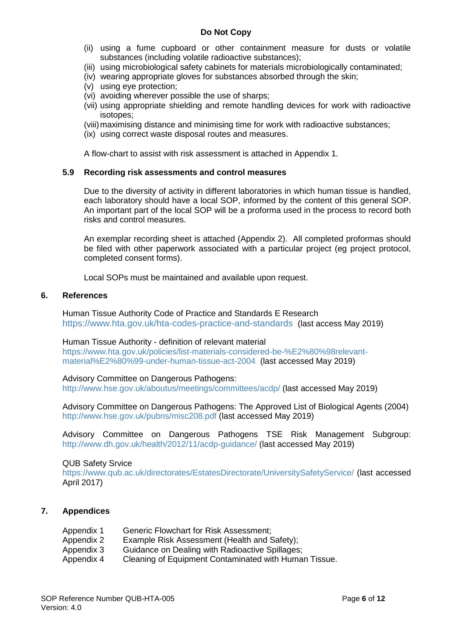- (ii) using a fume cupboard or other containment measure for dusts or volatile substances (including volatile radioactive substances);
- (iii) using microbiological safety cabinets for materials microbiologically contaminated;
- (iv) wearing appropriate gloves for substances absorbed through the skin;
- (v) using eye protection;
- (vi) avoiding wherever possible the use of sharps;
- (vii) using appropriate shielding and remote handling devices for work with radioactive isotopes;
- (viii)maximising distance and minimising time for work with radioactive substances;
- (ix) using correct waste disposal routes and measures.

A flow-chart to assist with risk assessment is attached in Appendix 1.

#### **5.9 Recording risk assessments and control measures**

Due to the diversity of activity in different laboratories in which human tissue is handled, each laboratory should have a local SOP, informed by the content of this general SOP. An important part of the local SOP will be a proforma used in the process to record both risks and control measures.

An exemplar recording sheet is attached (Appendix 2). All completed proformas should be filed with other paperwork associated with a particular project (eg project protocol, completed consent forms).

Local SOPs must be maintained and available upon request.

#### **6. References**

Human Tissue Authority Code of Practice and Standards E Research <https://www.hta.gov.uk/hta-codes-practice-and-standards> (last access May 2019)

#### Human Tissue Authority - definition of relevant material

[https://www.hta.gov.uk/policies/list-materials-considered-be-%E2%80%98relevant](https://www.hta.gov.uk/policies/list-materials-considered-be-%E2%80%98relevant-material%E2%80%99-under-human-tissue-act-2004)[material%E2%80%99-under-human-tissue-act-2004](https://www.hta.gov.uk/policies/list-materials-considered-be-%E2%80%98relevant-material%E2%80%99-under-human-tissue-act-2004) (last accessed May 2019)

#### Advisory Committee on Dangerous Pathogens:

<http://www.hse.gov.uk/aboutus/meetings/committees/acdp/> (last accessed May 2019)

Advisory Committee on Dangerous Pathogens: The Approved List of Biological Agents (2004) <http://www.hse.gov.uk/pubns/misc208.pdf> (last accessed May 2019)

Advisory Committee on Dangerous Pathogens TSE Risk Management Subgroup: <http://www.dh.gov.uk/health/2012/11/acdp-guidance/> (last accessed May 2019)

#### QUB Safety Srvice

<https://www.qub.ac.uk/directorates/EstatesDirectorate/UniversitySafetyService/> (last accessed April 2017)

#### **7. Appendices**

| Appendix 1 | Generic Flowchart for Risk Assessment;                |
|------------|-------------------------------------------------------|
| Appendix 2 | Example Risk Assessment (Health and Safety);          |
| Appendix 3 | Guidance on Dealing with Radioactive Spillages;       |
| Appendix 4 | Cleaning of Equipment Contaminated with Human Tissue. |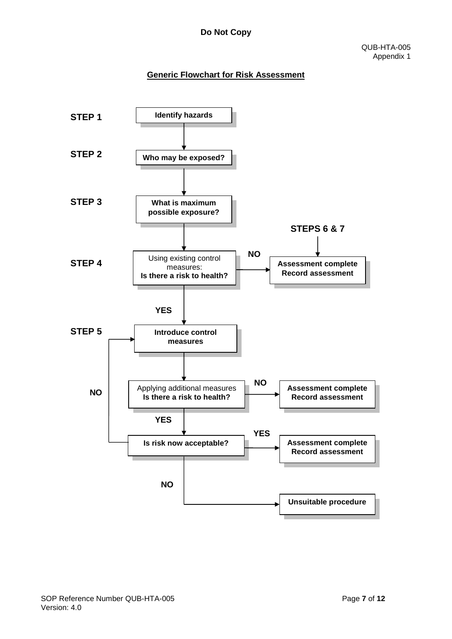## **Generic Flowchart for Risk Assessment**

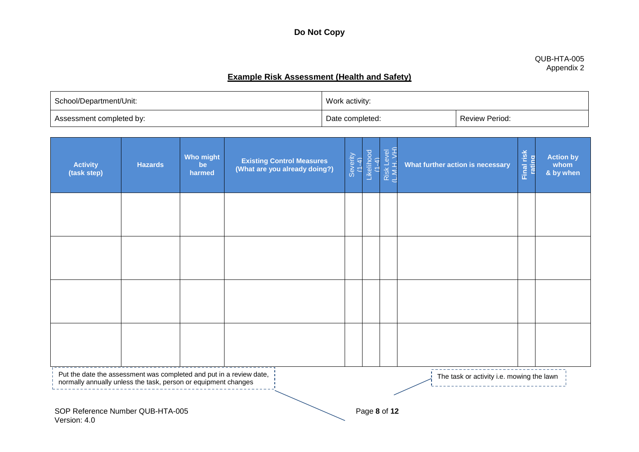#### QUB-HTA-005 Appendix 2

## **Example Risk Assessment (Health and Safety)**

| School/Department/Unit:  | Work activity:  |                |  |
|--------------------------|-----------------|----------------|--|
| Assessment completed by: | Date completed: | Review Period: |  |

| <b>Activity</b><br>(task step)                                                                                                                                                     | <b>Hazards</b> | <b>Who might</b><br>be<br>harmed | <b>Existing Control Measures</b><br>(What are you already doing?) | Severity<br>(1-4) | Likelihood<br>(1-4) | Risk Level<br>(L.M.H. VH) | What further action is necessary | Final risk<br>Lating | <b>Action by</b><br>whom<br>& by when |
|------------------------------------------------------------------------------------------------------------------------------------------------------------------------------------|----------------|----------------------------------|-------------------------------------------------------------------|-------------------|---------------------|---------------------------|----------------------------------|----------------------|---------------------------------------|
|                                                                                                                                                                                    |                |                                  |                                                                   |                   |                     |                           |                                  |                      |                                       |
|                                                                                                                                                                                    |                |                                  |                                                                   |                   |                     |                           |                                  |                      |                                       |
|                                                                                                                                                                                    |                |                                  |                                                                   |                   |                     |                           |                                  |                      |                                       |
|                                                                                                                                                                                    |                |                                  |                                                                   |                   |                     |                           |                                  |                      |                                       |
| Put the date the assessment was completed and put in a review date,<br>The task or activity i.e. mowing the lawn<br>normally annually unless the task, person or equipment changes |                |                                  |                                                                   |                   |                     |                           |                                  |                      |                                       |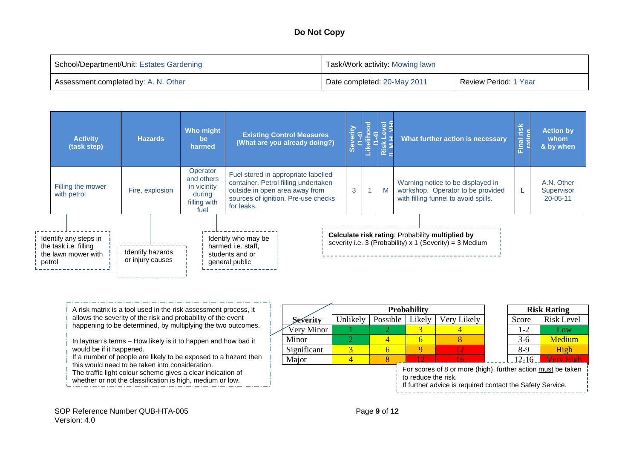| School/Department/Unit: Estates Gardening | Task/Work activity: Mowing lawn |                       |  |  |  |
|-------------------------------------------|---------------------------------|-----------------------|--|--|--|
| Assessment completed by: A. N. Other      | Date completed: 20-May 2011     | Review Period: 1 Year |  |  |  |

|        | <b>Activity</b><br>(task step)                                        | <b>Hazards</b>                       | <b>Who might</b><br>be<br>harmed                                        | <b>Existing Control Measures</b><br>(What are you already doing?)                                                                                                  | erity |   | What further action is necessary                                                                               | risk<br>inai<br>List | <b>Action by</b><br>whom<br>& by when      |
|--------|-----------------------------------------------------------------------|--------------------------------------|-------------------------------------------------------------------------|--------------------------------------------------------------------------------------------------------------------------------------------------------------------|-------|---|----------------------------------------------------------------------------------------------------------------|----------------------|--------------------------------------------|
|        | Filling the mower<br>with petrol                                      | Fire, explosion                      | Operator<br>and others<br>in vicinity<br>during<br>filling with<br>fuel | Fuel stored in appropriate labelled<br>container. Petrol filling undertaken<br>outside in open area away from<br>sources of ignition. Pre-use checks<br>for leaks. | 3     | M | Warning notice to be displayed in<br>workshop. Operator to be provided<br>with filling funnel to avoid spills. | ь.                   | A.N. Other<br>Supervisor<br>$20 - 05 - 11$ |
| petrol | Identify any steps in<br>the task i.e. filling<br>the lawn mower with | Identify hazards<br>or injury causes |                                                                         | Identify who may be<br>harmed <i>i.e.</i> staff,<br>students and or<br>general public                                                                              |       |   | Calculate risk rating: Probability multiplied by<br>severity i.e. 3 (Probability) x 1 (Severity) = 3 Medium    |                      |                                            |

A risk matrix is a tool used in the risk assessment process, it allows the severity of the risk and probability of the event happening to be determined, by multiplying the two outcomes.

In layman's terms – How likely is it to happen and how bad it would be if it happened.

If a number of people are likely to be exposed to a hazard then this would need to be taken into consideration.

The traffic light colour scheme gives a clear indication of

- whether or not the classification is high, medium or low.
- 

|                                                              |          |          | <b>Probability</b>             |  |                     | <b>Risk Rating</b> |               |  |  |  |
|--------------------------------------------------------------|----------|----------|--------------------------------|--|---------------------|--------------------|---------------|--|--|--|
| Severity                                                     | Jnlikely | Possible | Very Likely<br>Likely<br>Score |  | <b>Risk Level</b>   |                    |               |  |  |  |
| Very Minor                                                   |          |          |                                |  |                     | $1 - 2$            | Low           |  |  |  |
| Minor                                                        |          |          |                                |  |                     | $3-6$              | <b>Medium</b> |  |  |  |
| Significant                                                  |          |          |                                |  |                     | 8-9                | High          |  |  |  |
| Major                                                        |          |          |                                |  | $12-16$<br>ory High |                    |               |  |  |  |
| For scores of 8 or more (high), further action must be taken |          |          |                                |  |                     |                    |               |  |  |  |

to reduce the risk.

If further advice is required contact the Safety Service.

SOP Reference Number QUB-HTA-005 **Page 9** of 12 Version: 4.0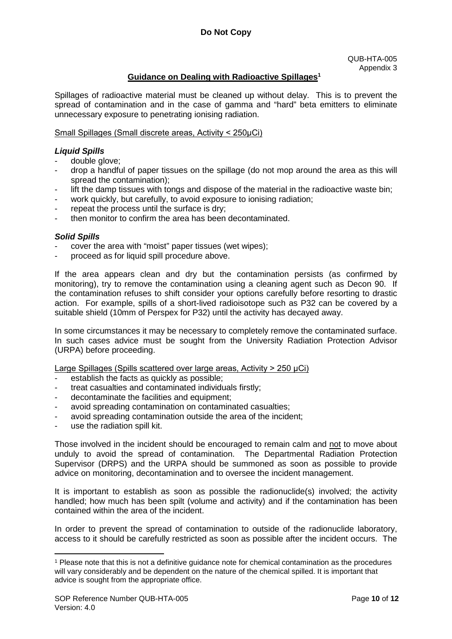#### **Guidance on Dealing with Radioactive Spillages1[3](#page-9-0)**

Spillages of radioactive material must be cleaned up without delay. This is to prevent the spread of contamination and in the case of gamma and "hard" beta emitters to eliminate unnecessary exposure to penetrating ionising radiation.

#### Small Spillages (Small discrete areas, Activity < 250uCi)

#### *Liquid Spills*

- double glove;
- drop a handful of paper tissues on the spillage (do not mop around the area as this will spread the contamination);
- lift the damp tissues with tongs and dispose of the material in the radioactive waste bin;
- work quickly, but carefully, to avoid exposure to ionising radiation;
- repeat the process until the surface is dry:
- then monitor to confirm the area has been decontaminated.

#### *Solid Spills*

- cover the area with "moist" paper tissues (wet wipes);
- proceed as for liquid spill procedure above.

If the area appears clean and dry but the contamination persists (as confirmed by monitoring), try to remove the contamination using a cleaning agent such as Decon 90. If the contamination refuses to shift consider your options carefully before resorting to drastic action. For example, spills of a short-lived radioisotope such as P32 can be covered by a suitable shield (10mm of Perspex for P32) until the activity has decayed away.

In some circumstances it may be necessary to completely remove the contaminated surface. In such cases advice must be sought from the University Radiation Protection Advisor (URPA) before proceeding.

Large Spillages (Spills scattered over large areas, Activity > 250 μCi)

- establish the facts as quickly as possible;
- treat casualties and contaminated individuals firstly;
- decontaminate the facilities and equipment;
- avoid spreading contamination on contaminated casualties;
- avoid spreading contamination outside the area of the incident;
- use the radiation spill kit.

Those involved in the incident should be encouraged to remain calm and not to move about unduly to avoid the spread of contamination. The Departmental Radiation Protection Supervisor (DRPS) and the URPA should be summoned as soon as possible to provide advice on monitoring, decontamination and to oversee the incident management.

It is important to establish as soon as possible the radionuclide(s) involved; the activity handled; how much has been spilt (volume and activity) and if the contamination has been contained within the area of the incident.

In order to prevent the spread of contamination to outside of the radionuclide laboratory, access to it should be carefully restricted as soon as possible after the incident occurs. The

<u>.</u>

<span id="page-9-0"></span><sup>1</sup> Please note that this is not a definitive guidance note for chemical contamination as the procedures will vary considerably and be dependent on the nature of the chemical spilled. It is important that advice is sought from the appropriate office.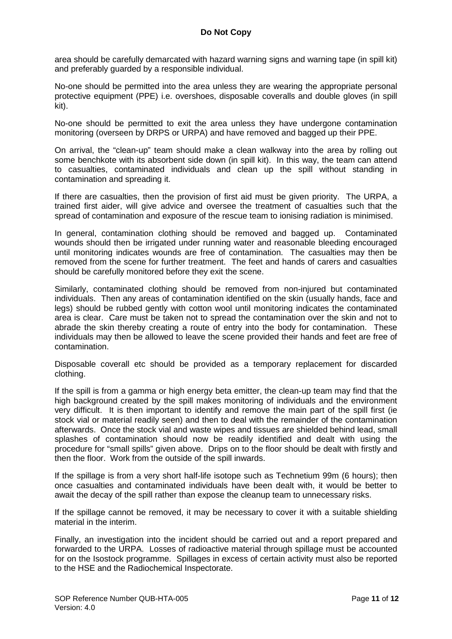area should be carefully demarcated with hazard warning signs and warning tape (in spill kit) and preferably guarded by a responsible individual.

No-one should be permitted into the area unless they are wearing the appropriate personal protective equipment (PPE) i.e. overshoes, disposable coveralls and double gloves (in spill kit).

No-one should be permitted to exit the area unless they have undergone contamination monitoring (overseen by DRPS or URPA) and have removed and bagged up their PPE.

On arrival, the "clean-up" team should make a clean walkway into the area by rolling out some benchkote with its absorbent side down (in spill kit). In this way, the team can attend to casualties, contaminated individuals and clean up the spill without standing in contamination and spreading it.

If there are casualties, then the provision of first aid must be given priority. The URPA, a trained first aider, will give advice and oversee the treatment of casualties such that the spread of contamination and exposure of the rescue team to ionising radiation is minimised.

In general, contamination clothing should be removed and bagged up. Contaminated wounds should then be irrigated under running water and reasonable bleeding encouraged until monitoring indicates wounds are free of contamination. The casualties may then be removed from the scene for further treatment. The feet and hands of carers and casualties should be carefully monitored before they exit the scene.

Similarly, contaminated clothing should be removed from non-injured but contaminated individuals. Then any areas of contamination identified on the skin (usually hands, face and legs) should be rubbed gently with cotton wool until monitoring indicates the contaminated area is clear. Care must be taken not to spread the contamination over the skin and not to abrade the skin thereby creating a route of entry into the body for contamination. These individuals may then be allowed to leave the scene provided their hands and feet are free of contamination.

Disposable coverall etc should be provided as a temporary replacement for discarded clothing.

If the spill is from a gamma or high energy beta emitter, the clean-up team may find that the high background created by the spill makes monitoring of individuals and the environment very difficult. It is then important to identify and remove the main part of the spill first (ie stock vial or material readily seen) and then to deal with the remainder of the contamination afterwards. Once the stock vial and waste wipes and tissues are shielded behind lead, small splashes of contamination should now be readily identified and dealt with using the procedure for "small spills" given above. Drips on to the floor should be dealt with firstly and then the floor. Work from the outside of the spill inwards.

If the spillage is from a very short half-life isotope such as Technetium 99m (6 hours); then once casualties and contaminated individuals have been dealt with, it would be better to await the decay of the spill rather than expose the cleanup team to unnecessary risks.

If the spillage cannot be removed, it may be necessary to cover it with a suitable shielding material in the interim.

Finally, an investigation into the incident should be carried out and a report prepared and forwarded to the URPA. Losses of radioactive material through spillage must be accounted for on the Isostock programme. Spillages in excess of certain activity must also be reported to the HSE and the Radiochemical Inspectorate.